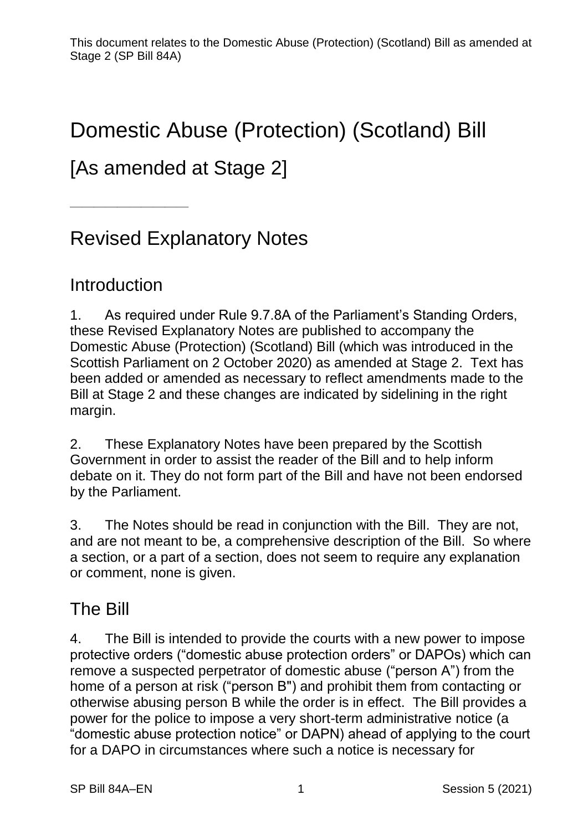# Domestic Abuse (Protection) (Scotland) Bill

## [As amended at Stage 2]

# Revised Explanatory Notes

#### **Introduction**

——————————

1. As required under Rule 9.7.8A of the Parliament's Standing Orders, these Revised Explanatory Notes are published to accompany the Domestic Abuse (Protection) (Scotland) Bill (which was introduced in the Scottish Parliament on 2 October 2020) as amended at Stage 2. Text has been added or amended as necessary to reflect amendments made to the Bill at Stage 2 and these changes are indicated by sidelining in the right margin.

2. These Explanatory Notes have been prepared by the Scottish Government in order to assist the reader of the Bill and to help inform debate on it. They do not form part of the Bill and have not been endorsed by the Parliament.

3. The Notes should be read in conjunction with the Bill. They are not, and are not meant to be, a comprehensive description of the Bill. So where a section, or a part of a section, does not seem to require any explanation or comment, none is given.

#### The Bill

4. The Bill is intended to provide the courts with a new power to impose protective orders ("domestic abuse protection orders" or DAPOs) which can remove a suspected perpetrator of domestic abuse ("person A") from the home of a person at risk ("person B") and prohibit them from contacting or otherwise abusing person B while the order is in effect. The Bill provides a power for the police to impose a very short-term administrative notice (a "domestic abuse protection notice" or DAPN) ahead of applying to the court for a DAPO in circumstances where such a notice is necessary for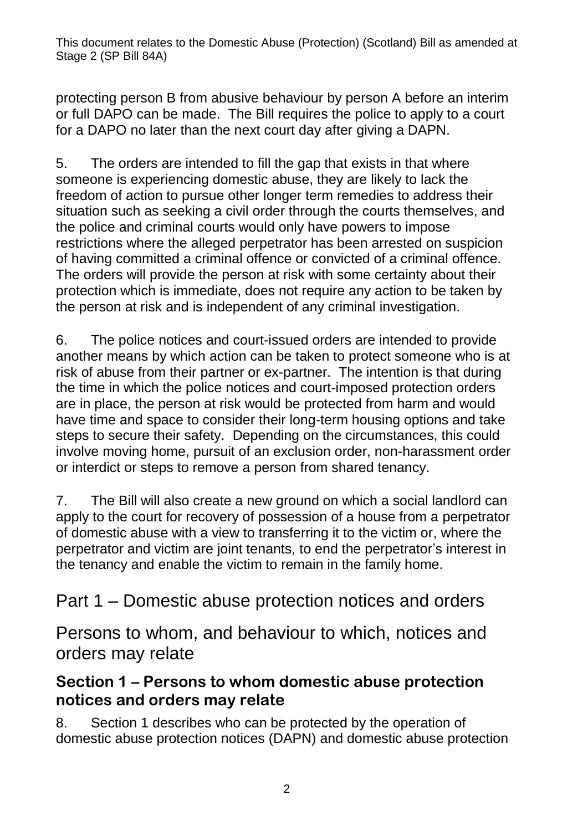protecting person B from abusive behaviour by person A before an interim or full DAPO can be made. The Bill requires the police to apply to a court for a DAPO no later than the next court day after giving a DAPN.

5. The orders are intended to fill the gap that exists in that where someone is experiencing domestic abuse, they are likely to lack the freedom of action to pursue other longer term remedies to address their situation such as seeking a civil order through the courts themselves, and the police and criminal courts would only have powers to impose restrictions where the alleged perpetrator has been arrested on suspicion of having committed a criminal offence or convicted of a criminal offence. The orders will provide the person at risk with some certainty about their protection which is immediate, does not require any action to be taken by the person at risk and is independent of any criminal investigation.

6. The police notices and court-issued orders are intended to provide another means by which action can be taken to protect someone who is at risk of abuse from their partner or ex-partner. The intention is that during the time in which the police notices and court-imposed protection orders are in place, the person at risk would be protected from harm and would have time and space to consider their long-term housing options and take steps to secure their safety. Depending on the circumstances, this could involve moving home, pursuit of an exclusion order, non-harassment order or interdict or steps to remove a person from shared tenancy.

7. The Bill will also create a new ground on which a social landlord can apply to the court for recovery of possession of a house from a perpetrator of domestic abuse with a view to transferring it to the victim or, where the perpetrator and victim are joint tenants, to end the perpetrator's interest in the tenancy and enable the victim to remain in the family home.

Part 1 – Domestic abuse protection notices and orders

Persons to whom, and behaviour to which, notices and orders may relate

#### **Section 1 – Persons to whom domestic abuse protection notices and orders may relate**

8. Section 1 describes who can be protected by the operation of domestic abuse protection notices (DAPN) and domestic abuse protection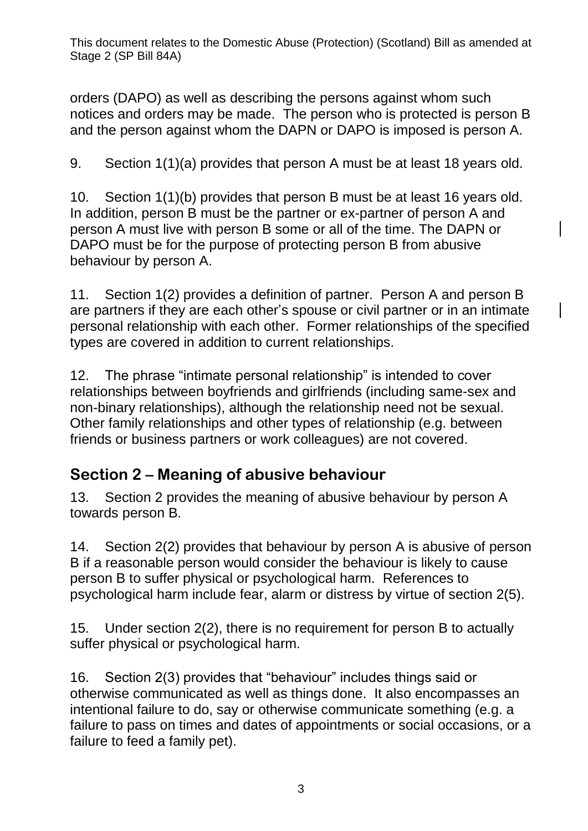orders (DAPO) as well as describing the persons against whom such notices and orders may be made. The person who is protected is person B and the person against whom the DAPN or DAPO is imposed is person A.

9. Section 1(1)(a) provides that person A must be at least 18 years old.

10. Section 1(1)(b) provides that person B must be at least 16 years old. In addition, person B must be the partner or ex-partner of person A and person A must live with person B some or all of the time. The DAPN or DAPO must be for the purpose of protecting person B from abusive behaviour by person A.

11. Section 1(2) provides a definition of partner. Person A and person B are partners if they are each other's spouse or civil partner or in an intimate personal relationship with each other. Former relationships of the specified types are covered in addition to current relationships.

12. The phrase "intimate personal relationship" is intended to cover relationships between boyfriends and girlfriends (including same-sex and non-binary relationships), although the relationship need not be sexual. Other family relationships and other types of relationship (e.g. between friends or business partners or work colleagues) are not covered.

#### **Section 2 – Meaning of abusive behaviour**

13. Section 2 provides the meaning of abusive behaviour by person A towards person B.

14. Section 2(2) provides that behaviour by person A is abusive of person B if a reasonable person would consider the behaviour is likely to cause person B to suffer physical or psychological harm. References to psychological harm include fear, alarm or distress by virtue of section 2(5).

15. Under section 2(2), there is no requirement for person B to actually suffer physical or psychological harm.

16. Section 2(3) provides that "behaviour" includes things said or otherwise communicated as well as things done. It also encompasses an intentional failure to do, say or otherwise communicate something (e.g. a failure to pass on times and dates of appointments or social occasions, or a failure to feed a family pet).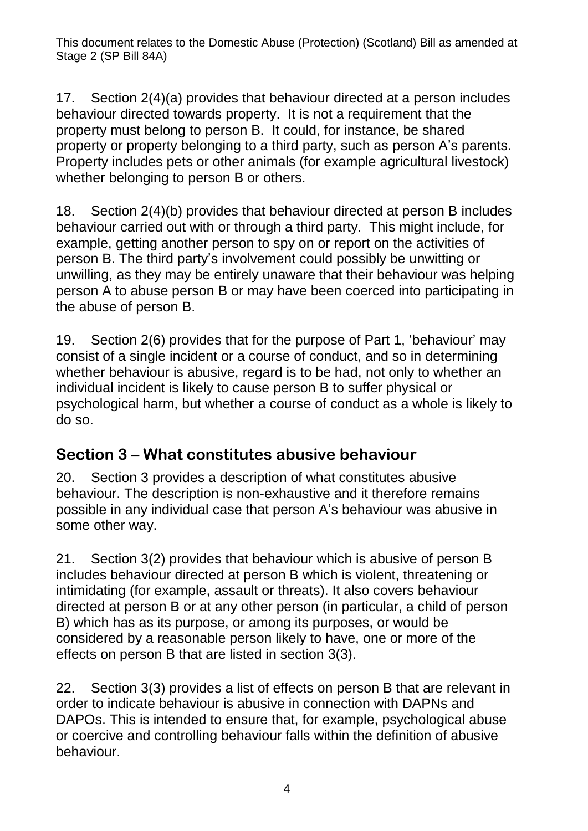17. Section 2(4)(a) provides that behaviour directed at a person includes behaviour directed towards property. It is not a requirement that the property must belong to person B. It could, for instance, be shared property or property belonging to a third party, such as person A's parents. Property includes pets or other animals (for example agricultural livestock) whether belonging to person B or others.

18. Section 2(4)(b) provides that behaviour directed at person B includes behaviour carried out with or through a third party. This might include, for example, getting another person to spy on or report on the activities of person B. The third party's involvement could possibly be unwitting or unwilling, as they may be entirely unaware that their behaviour was helping person A to abuse person B or may have been coerced into participating in the abuse of person B.

19. Section 2(6) provides that for the purpose of Part 1, 'behaviour' may consist of a single incident or a course of conduct, and so in determining whether behaviour is abusive, regard is to be had, not only to whether an individual incident is likely to cause person B to suffer physical or psychological harm, but whether a course of conduct as a whole is likely to do so.

#### **Section 3 – What constitutes abusive behaviour**

20. Section 3 provides a description of what constitutes abusive behaviour. The description is non-exhaustive and it therefore remains possible in any individual case that person A's behaviour was abusive in some other way.

21. Section 3(2) provides that behaviour which is abusive of person B includes behaviour directed at person B which is violent, threatening or intimidating (for example, assault or threats). It also covers behaviour directed at person B or at any other person (in particular, a child of person B) which has as its purpose, or among its purposes, or would be considered by a reasonable person likely to have, one or more of the effects on person B that are listed in section 3(3).

22. Section 3(3) provides a list of effects on person B that are relevant in order to indicate behaviour is abusive in connection with DAPNs and DAPOs. This is intended to ensure that, for example, psychological abuse or coercive and controlling behaviour falls within the definition of abusive behaviour.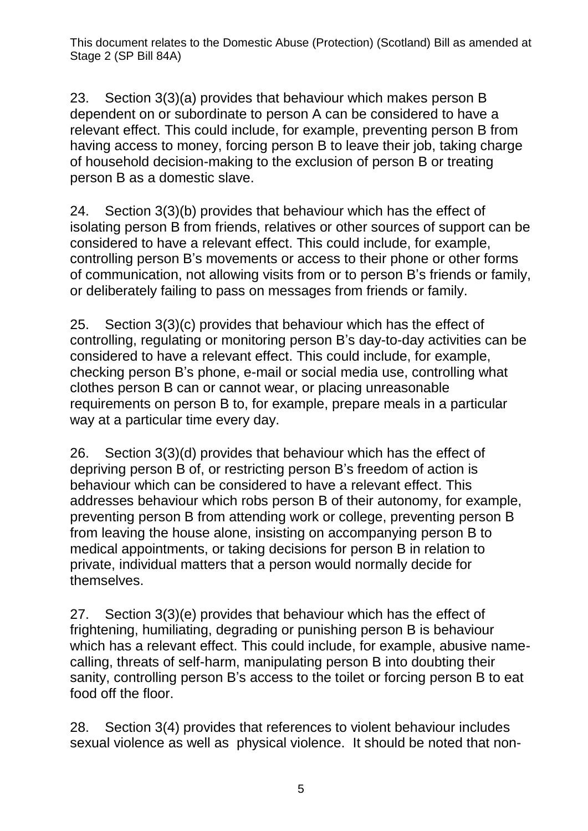23. Section 3(3)(a) provides that behaviour which makes person B dependent on or subordinate to person A can be considered to have a relevant effect. This could include, for example, preventing person B from having access to money, forcing person B to leave their job, taking charge of household decision-making to the exclusion of person B or treating person B as a domestic slave.

24. Section 3(3)(b) provides that behaviour which has the effect of isolating person B from friends, relatives or other sources of support can be considered to have a relevant effect. This could include, for example, controlling person B's movements or access to their phone or other forms of communication, not allowing visits from or to person B's friends or family, or deliberately failing to pass on messages from friends or family.

25. Section 3(3)(c) provides that behaviour which has the effect of controlling, regulating or monitoring person B's day-to-day activities can be considered to have a relevant effect. This could include, for example, checking person B's phone, e-mail or social media use, controlling what clothes person B can or cannot wear, or placing unreasonable requirements on person B to, for example, prepare meals in a particular way at a particular time every day.

26. Section 3(3)(d) provides that behaviour which has the effect of depriving person B of, or restricting person B's freedom of action is behaviour which can be considered to have a relevant effect. This addresses behaviour which robs person B of their autonomy, for example, preventing person B from attending work or college, preventing person B from leaving the house alone, insisting on accompanying person B to medical appointments, or taking decisions for person B in relation to private, individual matters that a person would normally decide for themselves.

27. Section 3(3)(e) provides that behaviour which has the effect of frightening, humiliating, degrading or punishing person B is behaviour which has a relevant effect. This could include, for example, abusive namecalling, threats of self-harm, manipulating person B into doubting their sanity, controlling person B's access to the toilet or forcing person B to eat food off the floor.

28. Section 3(4) provides that references to violent behaviour includes sexual violence as well as physical violence. It should be noted that non-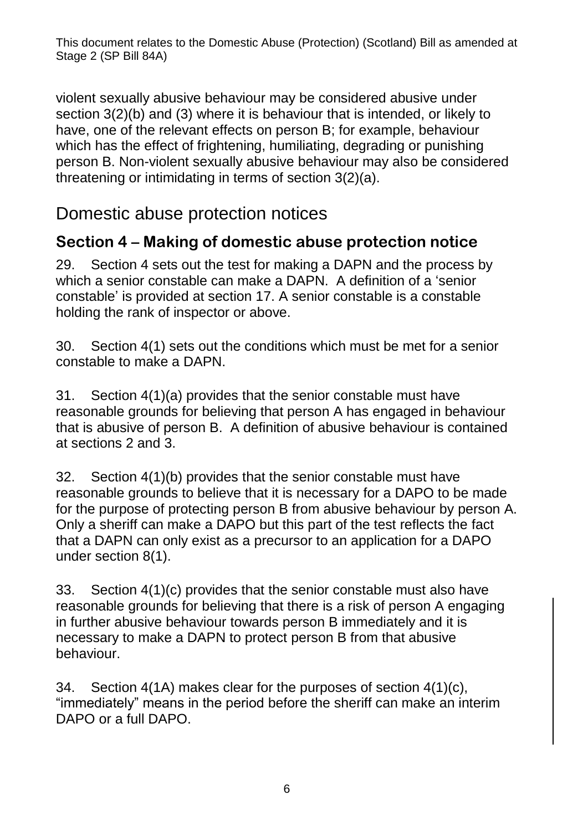violent sexually abusive behaviour may be considered abusive under section 3(2)(b) and (3) where it is behaviour that is intended, or likely to have, one of the relevant effects on person B; for example, behaviour which has the effect of frightening, humiliating, degrading or punishing person B. Non-violent sexually abusive behaviour may also be considered threatening or intimidating in terms of section 3(2)(a).

#### Domestic abuse protection notices

#### **Section 4 – Making of domestic abuse protection notice**

29. Section 4 sets out the test for making a DAPN and the process by which a senior constable can make a DAPN. A definition of a 'senior constable' is provided at section 17. A senior constable is a constable holding the rank of inspector or above.

30. Section 4(1) sets out the conditions which must be met for a senior constable to make a DAPN.

31. Section 4(1)(a) provides that the senior constable must have reasonable grounds for believing that person A has engaged in behaviour that is abusive of person B. A definition of abusive behaviour is contained at sections 2 and 3.

32. Section 4(1)(b) provides that the senior constable must have reasonable grounds to believe that it is necessary for a DAPO to be made for the purpose of protecting person B from abusive behaviour by person A. Only a sheriff can make a DAPO but this part of the test reflects the fact that a DAPN can only exist as a precursor to an application for a DAPO under section 8(1).

33. Section 4(1)(c) provides that the senior constable must also have reasonable grounds for believing that there is a risk of person A engaging in further abusive behaviour towards person B immediately and it is necessary to make a DAPN to protect person B from that abusive behaviour.

34. Section 4(1A) makes clear for the purposes of section 4(1)(c), "immediately" means in the period before the sheriff can make an interim DAPO or a full DAPO.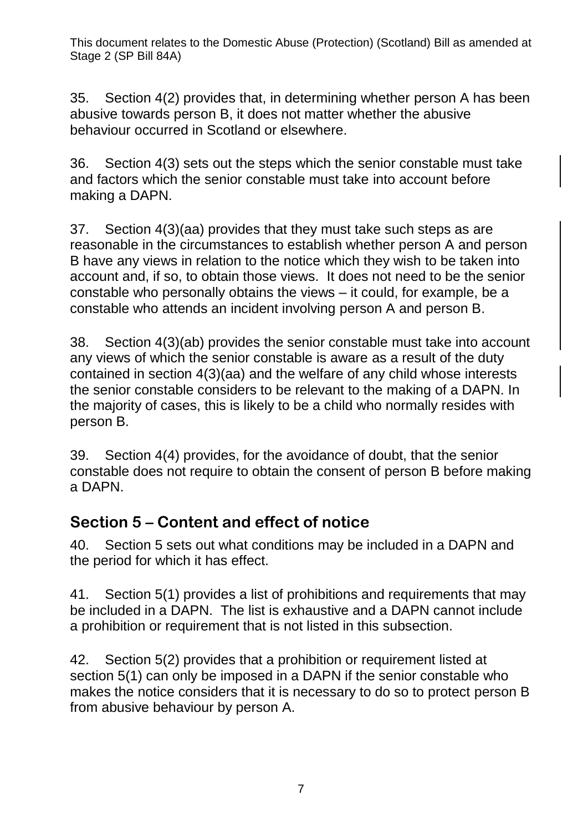35. Section 4(2) provides that, in determining whether person A has been abusive towards person B, it does not matter whether the abusive behaviour occurred in Scotland or elsewhere.

36. Section 4(3) sets out the steps which the senior constable must take and factors which the senior constable must take into account before making a DAPN.

37. Section 4(3)(aa) provides that they must take such steps as are reasonable in the circumstances to establish whether person A and person B have any views in relation to the notice which they wish to be taken into account and, if so, to obtain those views. It does not need to be the senior constable who personally obtains the views – it could, for example, be a constable who attends an incident involving person A and person B.

38. Section 4(3)(ab) provides the senior constable must take into account any views of which the senior constable is aware as a result of the duty contained in section 4(3)(aa) and the welfare of any child whose interests the senior constable considers to be relevant to the making of a DAPN. In the majority of cases, this is likely to be a child who normally resides with person B.

39. Section 4(4) provides, for the avoidance of doubt, that the senior constable does not require to obtain the consent of person B before making a DAPN.

#### **Section 5 – Content and effect of notice**

40. Section 5 sets out what conditions may be included in a DAPN and the period for which it has effect.

41. Section 5(1) provides a list of prohibitions and requirements that may be included in a DAPN. The list is exhaustive and a DAPN cannot include a prohibition or requirement that is not listed in this subsection.

42. Section 5(2) provides that a prohibition or requirement listed at section 5(1) can only be imposed in a DAPN if the senior constable who makes the notice considers that it is necessary to do so to protect person B from abusive behaviour by person A.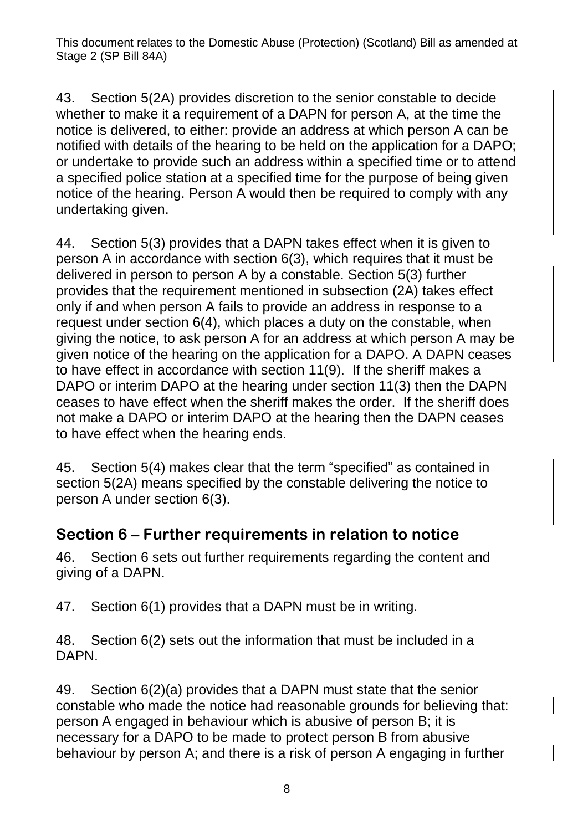43. Section 5(2A) provides discretion to the senior constable to decide whether to make it a requirement of a DAPN for person A, at the time the notice is delivered, to either: provide an address at which person A can be notified with details of the hearing to be held on the application for a DAPO; or undertake to provide such an address within a specified time or to attend a specified police station at a specified time for the purpose of being given notice of the hearing. Person A would then be required to comply with any undertaking given.

44. Section 5(3) provides that a DAPN takes effect when it is given to person A in accordance with section 6(3), which requires that it must be delivered in person to person A by a constable. Section 5(3) further provides that the requirement mentioned in subsection (2A) takes effect only if and when person A fails to provide an address in response to a request under section 6(4), which places a duty on the constable, when giving the notice, to ask person A for an address at which person A may be given notice of the hearing on the application for a DAPO. A DAPN ceases to have effect in accordance with section 11(9). If the sheriff makes a DAPO or interim DAPO at the hearing under section 11(3) then the DAPN ceases to have effect when the sheriff makes the order. If the sheriff does not make a DAPO or interim DAPO at the hearing then the DAPN ceases to have effect when the hearing ends.

45. Section 5(4) makes clear that the term "specified" as contained in section 5(2A) means specified by the constable delivering the notice to person A under section 6(3).

#### **Section 6 – Further requirements in relation to notice**

46. Section 6 sets out further requirements regarding the content and giving of a DAPN.

47. Section 6(1) provides that a DAPN must be in writing.

48. Section 6(2) sets out the information that must be included in a DAPN.

49. Section 6(2)(a) provides that a DAPN must state that the senior constable who made the notice had reasonable grounds for believing that: person A engaged in behaviour which is abusive of person B; it is necessary for a DAPO to be made to protect person B from abusive behaviour by person A; and there is a risk of person A engaging in further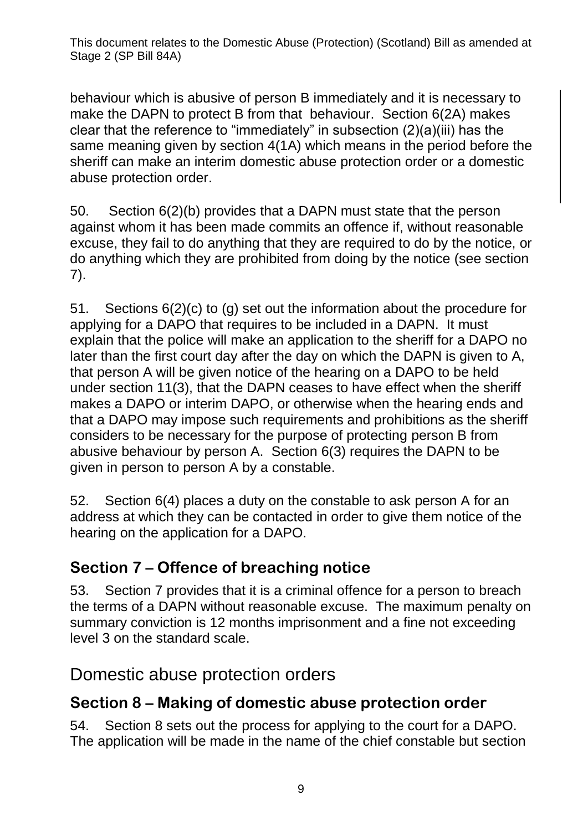behaviour which is abusive of person B immediately and it is necessary to make the DAPN to protect B from that behaviour. Section 6(2A) makes clear that the reference to "immediately" in subsection (2)(a)(iii) has the same meaning given by section 4(1A) which means in the period before the sheriff can make an interim domestic abuse protection order or a domestic abuse protection order.

50. Section 6(2)(b) provides that a DAPN must state that the person against whom it has been made commits an offence if, without reasonable excuse, they fail to do anything that they are required to do by the notice, or do anything which they are prohibited from doing by the notice (see section 7).

51. Sections 6(2)(c) to (g) set out the information about the procedure for applying for a DAPO that requires to be included in a DAPN. It must explain that the police will make an application to the sheriff for a DAPO no later than the first court day after the day on which the DAPN is given to A, that person A will be given notice of the hearing on a DAPO to be held under section 11(3), that the DAPN ceases to have effect when the sheriff makes a DAPO or interim DAPO, or otherwise when the hearing ends and that a DAPO may impose such requirements and prohibitions as the sheriff considers to be necessary for the purpose of protecting person B from abusive behaviour by person A. Section 6(3) requires the DAPN to be given in person to person A by a constable.

52. Section 6(4) places a duty on the constable to ask person A for an address at which they can be contacted in order to give them notice of the hearing on the application for a DAPO.

#### **Section 7 – Offence of breaching notice**

53. Section 7 provides that it is a criminal offence for a person to breach the terms of a DAPN without reasonable excuse. The maximum penalty on summary conviction is 12 months imprisonment and a fine not exceeding level 3 on the standard scale.

#### Domestic abuse protection orders

#### **Section 8 – Making of domestic abuse protection order**

54. Section 8 sets out the process for applying to the court for a DAPO. The application will be made in the name of the chief constable but section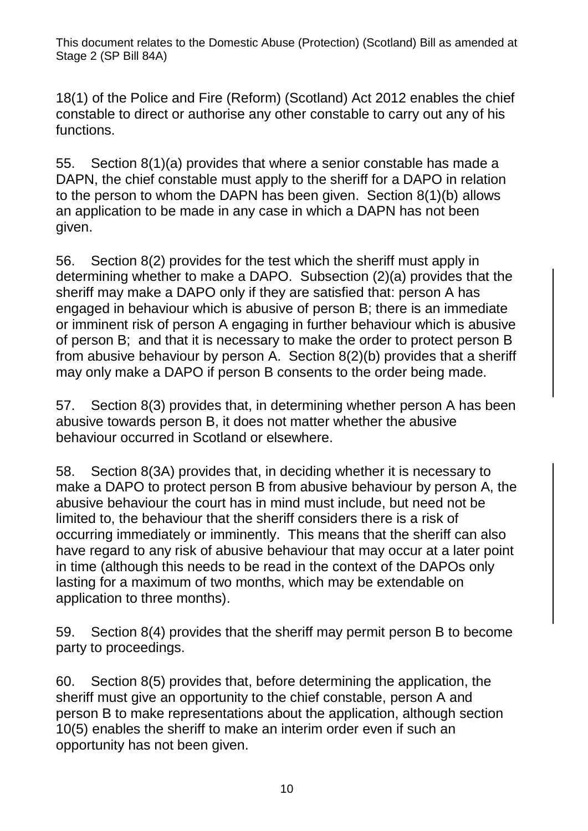18(1) of the Police and Fire (Reform) (Scotland) Act 2012 enables the chief constable to direct or authorise any other constable to carry out any of his functions.

55. Section 8(1)(a) provides that where a senior constable has made a DAPN, the chief constable must apply to the sheriff for a DAPO in relation to the person to whom the DAPN has been given. Section 8(1)(b) allows an application to be made in any case in which a DAPN has not been given.

56. Section 8(2) provides for the test which the sheriff must apply in determining whether to make a DAPO. Subsection (2)(a) provides that the sheriff may make a DAPO only if they are satisfied that: person A has engaged in behaviour which is abusive of person B; there is an immediate or imminent risk of person A engaging in further behaviour which is abusive of person B; and that it is necessary to make the order to protect person B from abusive behaviour by person A. Section 8(2)(b) provides that a sheriff may only make a DAPO if person B consents to the order being made.

57. Section 8(3) provides that, in determining whether person A has been abusive towards person B, it does not matter whether the abusive behaviour occurred in Scotland or elsewhere.

58. Section 8(3A) provides that, in deciding whether it is necessary to make a DAPO to protect person B from abusive behaviour by person A, the abusive behaviour the court has in mind must include, but need not be limited to, the behaviour that the sheriff considers there is a risk of occurring immediately or imminently. This means that the sheriff can also have regard to any risk of abusive behaviour that may occur at a later point in time (although this needs to be read in the context of the DAPOs only lasting for a maximum of two months, which may be extendable on application to three months).

59. Section 8(4) provides that the sheriff may permit person B to become party to proceedings.

60. Section 8(5) provides that, before determining the application, the sheriff must give an opportunity to the chief constable, person A and person B to make representations about the application, although section 10(5) enables the sheriff to make an interim order even if such an opportunity has not been given.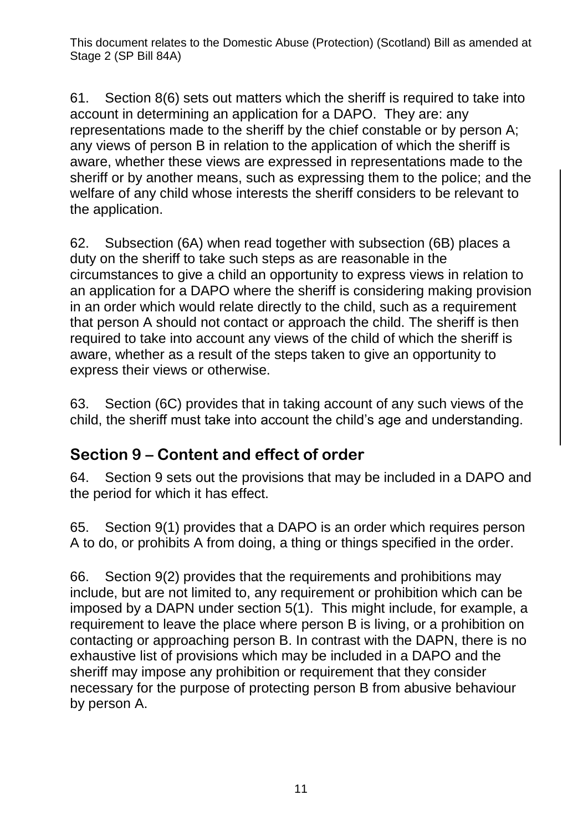61. Section 8(6) sets out matters which the sheriff is required to take into account in determining an application for a DAPO. They are: any representations made to the sheriff by the chief constable or by person A; any views of person B in relation to the application of which the sheriff is aware, whether these views are expressed in representations made to the sheriff or by another means, such as expressing them to the police; and the welfare of any child whose interests the sheriff considers to be relevant to the application.

62. Subsection (6A) when read together with subsection (6B) places a duty on the sheriff to take such steps as are reasonable in the circumstances to give a child an opportunity to express views in relation to an application for a DAPO where the sheriff is considering making provision in an order which would relate directly to the child, such as a requirement that person A should not contact or approach the child. The sheriff is then required to take into account any views of the child of which the sheriff is aware, whether as a result of the steps taken to give an opportunity to express their views or otherwise.

63. Section (6C) provides that in taking account of any such views of the child, the sheriff must take into account the child's age and understanding.

#### **Section 9 – Content and effect of order**

64. Section 9 sets out the provisions that may be included in a DAPO and the period for which it has effect.

65. Section 9(1) provides that a DAPO is an order which requires person A to do, or prohibits A from doing, a thing or things specified in the order.

66. Section 9(2) provides that the requirements and prohibitions may include, but are not limited to, any requirement or prohibition which can be imposed by a DAPN under section 5(1). This might include, for example, a requirement to leave the place where person B is living, or a prohibition on contacting or approaching person B. In contrast with the DAPN, there is no exhaustive list of provisions which may be included in a DAPO and the sheriff may impose any prohibition or requirement that they consider necessary for the purpose of protecting person B from abusive behaviour by person A.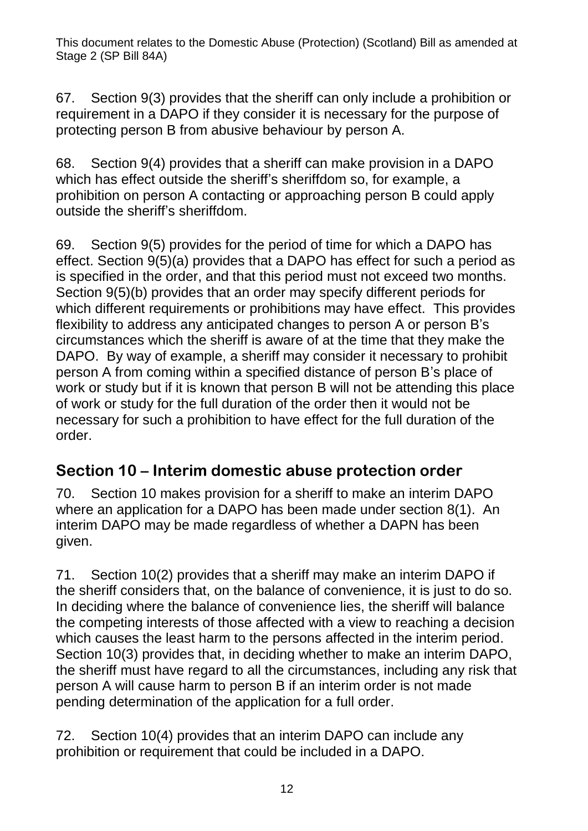67. Section 9(3) provides that the sheriff can only include a prohibition or requirement in a DAPO if they consider it is necessary for the purpose of protecting person B from abusive behaviour by person A.

68. Section 9(4) provides that a sheriff can make provision in a DAPO which has effect outside the sheriff's sheriffdom so, for example, a prohibition on person A contacting or approaching person B could apply outside the sheriff's sheriffdom.

69. Section 9(5) provides for the period of time for which a DAPO has effect. Section 9(5)(a) provides that a DAPO has effect for such a period as is specified in the order, and that this period must not exceed two months. Section 9(5)(b) provides that an order may specify different periods for which different requirements or prohibitions may have effect. This provides flexibility to address any anticipated changes to person A or person B's circumstances which the sheriff is aware of at the time that they make the DAPO. By way of example, a sheriff may consider it necessary to prohibit person A from coming within a specified distance of person B's place of work or study but if it is known that person B will not be attending this place of work or study for the full duration of the order then it would not be necessary for such a prohibition to have effect for the full duration of the order.

#### **Section 10 – Interim domestic abuse protection order**

70. Section 10 makes provision for a sheriff to make an interim DAPO where an application for a DAPO has been made under section 8(1). An interim DAPO may be made regardless of whether a DAPN has been given.

71. Section 10(2) provides that a sheriff may make an interim DAPO if the sheriff considers that, on the balance of convenience, it is just to do so. In deciding where the balance of convenience lies, the sheriff will balance the competing interests of those affected with a view to reaching a decision which causes the least harm to the persons affected in the interim period. Section 10(3) provides that, in deciding whether to make an interim DAPO, the sheriff must have regard to all the circumstances, including any risk that person A will cause harm to person B if an interim order is not made pending determination of the application for a full order.

72. Section 10(4) provides that an interim DAPO can include any prohibition or requirement that could be included in a DAPO.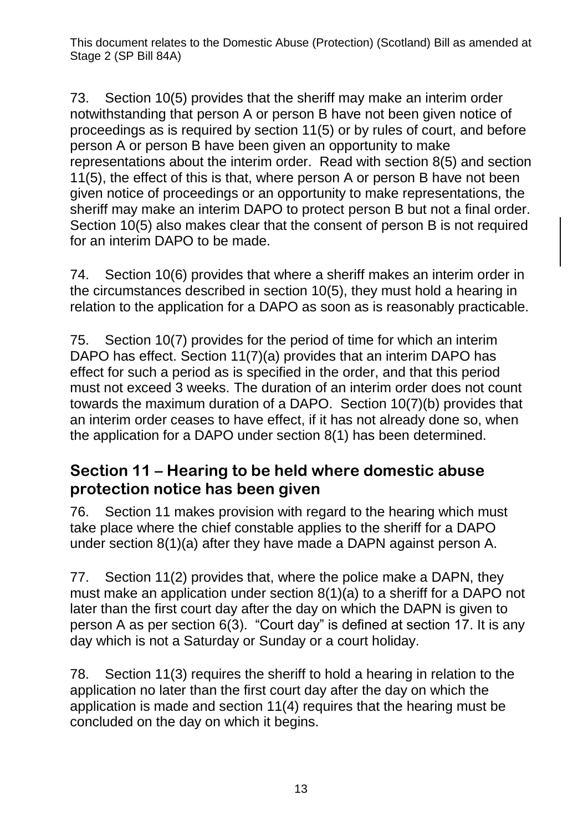73. Section 10(5) provides that the sheriff may make an interim order notwithstanding that person A or person B have not been given notice of proceedings as is required by section 11(5) or by rules of court, and before person A or person B have been given an opportunity to make representations about the interim order. Read with section 8(5) and section 11(5), the effect of this is that, where person A or person B have not been given notice of proceedings or an opportunity to make representations, the sheriff may make an interim DAPO to protect person B but not a final order. Section 10(5) also makes clear that the consent of person B is not required for an interim DAPO to be made.

74. Section 10(6) provides that where a sheriff makes an interim order in the circumstances described in section 10(5), they must hold a hearing in relation to the application for a DAPO as soon as is reasonably practicable.

75. Section 10(7) provides for the period of time for which an interim DAPO has effect. Section 11(7)(a) provides that an interim DAPO has effect for such a period as is specified in the order, and that this period must not exceed 3 weeks. The duration of an interim order does not count towards the maximum duration of a DAPO. Section 10(7)(b) provides that an interim order ceases to have effect, if it has not already done so, when the application for a DAPO under section 8(1) has been determined.

#### **Section 11 – Hearing to be held where domestic abuse protection notice has been given**

76. Section 11 makes provision with regard to the hearing which must take place where the chief constable applies to the sheriff for a DAPO under section 8(1)(a) after they have made a DAPN against person A.

77. Section 11(2) provides that, where the police make a DAPN, they must make an application under section 8(1)(a) to a sheriff for a DAPO not later than the first court day after the day on which the DAPN is given to person A as per section 6(3). "Court day" is defined at section 17. It is any day which is not a Saturday or Sunday or a court holiday.

78. Section 11(3) requires the sheriff to hold a hearing in relation to the application no later than the first court day after the day on which the application is made and section 11(4) requires that the hearing must be concluded on the day on which it begins.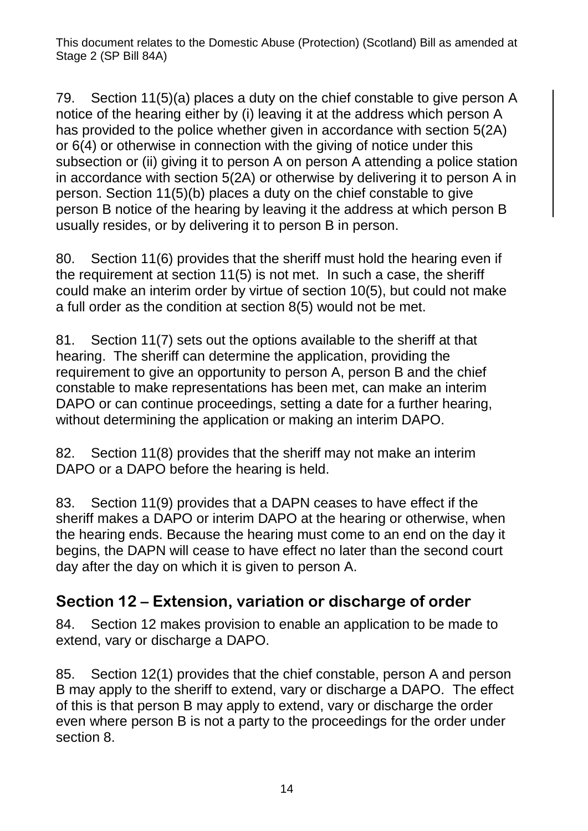79. Section 11(5)(a) places a duty on the chief constable to give person A notice of the hearing either by (i) leaving it at the address which person A has provided to the police whether given in accordance with section 5(2A) or 6(4) or otherwise in connection with the giving of notice under this subsection or (ii) giving it to person A on person A attending a police station in accordance with section 5(2A) or otherwise by delivering it to person A in person. Section 11(5)(b) places a duty on the chief constable to give person B notice of the hearing by leaving it the address at which person B usually resides, or by delivering it to person B in person.

80. Section 11(6) provides that the sheriff must hold the hearing even if the requirement at section 11(5) is not met. In such a case, the sheriff could make an interim order by virtue of section 10(5), but could not make a full order as the condition at section 8(5) would not be met.

81. Section 11(7) sets out the options available to the sheriff at that hearing. The sheriff can determine the application, providing the requirement to give an opportunity to person A, person B and the chief constable to make representations has been met, can make an interim DAPO or can continue proceedings, setting a date for a further hearing, without determining the application or making an interim DAPO.

82. Section 11(8) provides that the sheriff may not make an interim DAPO or a DAPO before the hearing is held.

83. Section 11(9) provides that a DAPN ceases to have effect if the sheriff makes a DAPO or interim DAPO at the hearing or otherwise, when the hearing ends. Because the hearing must come to an end on the day it begins, the DAPN will cease to have effect no later than the second court day after the day on which it is given to person A.

#### **Section 12 – Extension, variation or discharge of order**

84. Section 12 makes provision to enable an application to be made to extend, vary or discharge a DAPO.

85. Section 12(1) provides that the chief constable, person A and person B may apply to the sheriff to extend, vary or discharge a DAPO. The effect of this is that person B may apply to extend, vary or discharge the order even where person B is not a party to the proceedings for the order under section 8.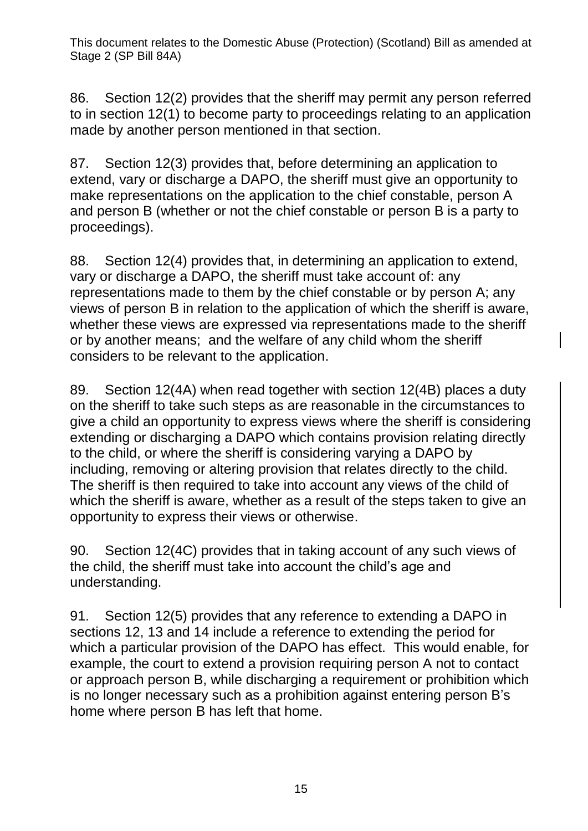86. Section 12(2) provides that the sheriff may permit any person referred to in section 12(1) to become party to proceedings relating to an application made by another person mentioned in that section.

87. Section 12(3) provides that, before determining an application to extend, vary or discharge a DAPO, the sheriff must give an opportunity to make representations on the application to the chief constable, person A and person B (whether or not the chief constable or person B is a party to proceedings).

88. Section 12(4) provides that, in determining an application to extend, vary or discharge a DAPO, the sheriff must take account of: any representations made to them by the chief constable or by person A; any views of person B in relation to the application of which the sheriff is aware, whether these views are expressed via representations made to the sheriff or by another means; and the welfare of any child whom the sheriff considers to be relevant to the application.

89. Section 12(4A) when read together with section 12(4B) places a duty on the sheriff to take such steps as are reasonable in the circumstances to give a child an opportunity to express views where the sheriff is considering extending or discharging a DAPO which contains provision relating directly to the child, or where the sheriff is considering varying a DAPO by including, removing or altering provision that relates directly to the child. The sheriff is then required to take into account any views of the child of which the sheriff is aware, whether as a result of the steps taken to give an opportunity to express their views or otherwise.

90. Section 12(4C) provides that in taking account of any such views of the child, the sheriff must take into account the child's age and understanding.

91. Section 12(5) provides that any reference to extending a DAPO in sections 12, 13 and 14 include a reference to extending the period for which a particular provision of the DAPO has effect. This would enable, for example, the court to extend a provision requiring person A not to contact or approach person B, while discharging a requirement or prohibition which is no longer necessary such as a prohibition against entering person B's home where person B has left that home.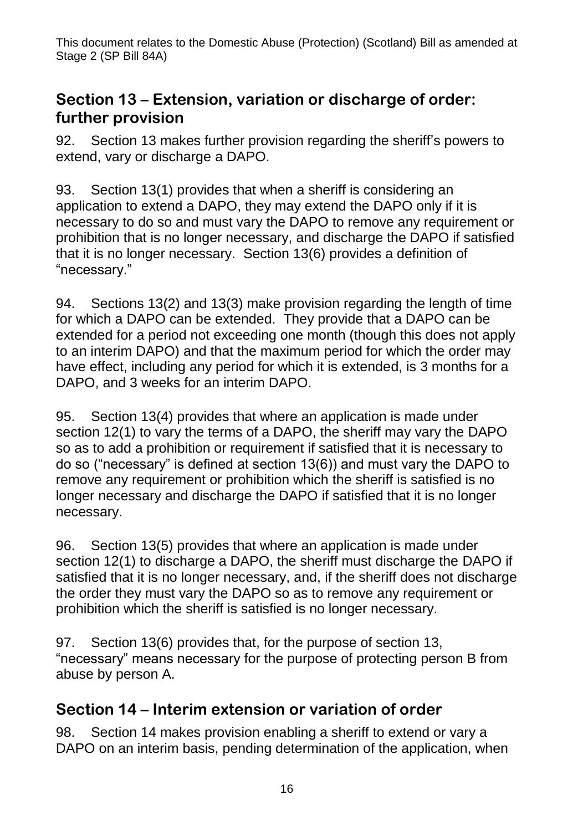#### **Section 13 – Extension, variation or discharge of order: further provision**

92. Section 13 makes further provision regarding the sheriff's powers to extend, vary or discharge a DAPO.

93. Section 13(1) provides that when a sheriff is considering an application to extend a DAPO, they may extend the DAPO only if it is necessary to do so and must vary the DAPO to remove any requirement or prohibition that is no longer necessary, and discharge the DAPO if satisfied that it is no longer necessary. Section 13(6) provides a definition of "necessary."

94. Sections 13(2) and 13(3) make provision regarding the length of time for which a DAPO can be extended. They provide that a DAPO can be extended for a period not exceeding one month (though this does not apply to an interim DAPO) and that the maximum period for which the order may have effect, including any period for which it is extended, is 3 months for a DAPO, and 3 weeks for an interim DAPO.

95. Section 13(4) provides that where an application is made under section 12(1) to vary the terms of a DAPO, the sheriff may vary the DAPO so as to add a prohibition or requirement if satisfied that it is necessary to do so ("necessary" is defined at section 13(6)) and must vary the DAPO to remove any requirement or prohibition which the sheriff is satisfied is no longer necessary and discharge the DAPO if satisfied that it is no longer necessary.

96. Section 13(5) provides that where an application is made under section 12(1) to discharge a DAPO, the sheriff must discharge the DAPO if satisfied that it is no longer necessary, and, if the sheriff does not discharge the order they must vary the DAPO so as to remove any requirement or prohibition which the sheriff is satisfied is no longer necessary.

97. Section 13(6) provides that, for the purpose of section 13, "necessary" means necessary for the purpose of protecting person B from abuse by person A.

#### **Section 14 – Interim extension or variation of order**

98. Section 14 makes provision enabling a sheriff to extend or vary a DAPO on an interim basis, pending determination of the application, when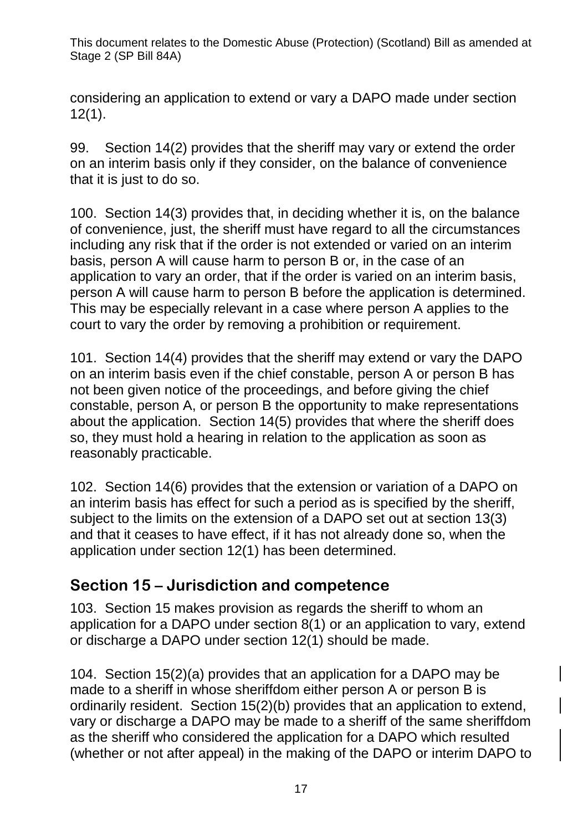considering an application to extend or vary a DAPO made under section 12(1).

99. Section 14(2) provides that the sheriff may vary or extend the order on an interim basis only if they consider, on the balance of convenience that it is just to do so.

100. Section 14(3) provides that, in deciding whether it is, on the balance of convenience, just, the sheriff must have regard to all the circumstances including any risk that if the order is not extended or varied on an interim basis, person A will cause harm to person B or, in the case of an application to vary an order, that if the order is varied on an interim basis, person A will cause harm to person B before the application is determined. This may be especially relevant in a case where person A applies to the court to vary the order by removing a prohibition or requirement.

101. Section 14(4) provides that the sheriff may extend or vary the DAPO on an interim basis even if the chief constable, person A or person B has not been given notice of the proceedings, and before giving the chief constable, person A, or person B the opportunity to make representations about the application. Section 14(5) provides that where the sheriff does so, they must hold a hearing in relation to the application as soon as reasonably practicable.

102. Section 14(6) provides that the extension or variation of a DAPO on an interim basis has effect for such a period as is specified by the sheriff, subject to the limits on the extension of a DAPO set out at section 13(3) and that it ceases to have effect, if it has not already done so, when the application under section 12(1) has been determined.

#### **Section 15 – Jurisdiction and competence**

103. Section 15 makes provision as regards the sheriff to whom an application for a DAPO under section 8(1) or an application to vary, extend or discharge a DAPO under section 12(1) should be made.

104. Section 15(2)(a) provides that an application for a DAPO may be made to a sheriff in whose sheriffdom either person A or person B is ordinarily resident. Section 15(2)(b) provides that an application to extend, vary or discharge a DAPO may be made to a sheriff of the same sheriffdom as the sheriff who considered the application for a DAPO which resulted (whether or not after appeal) in the making of the DAPO or interim DAPO to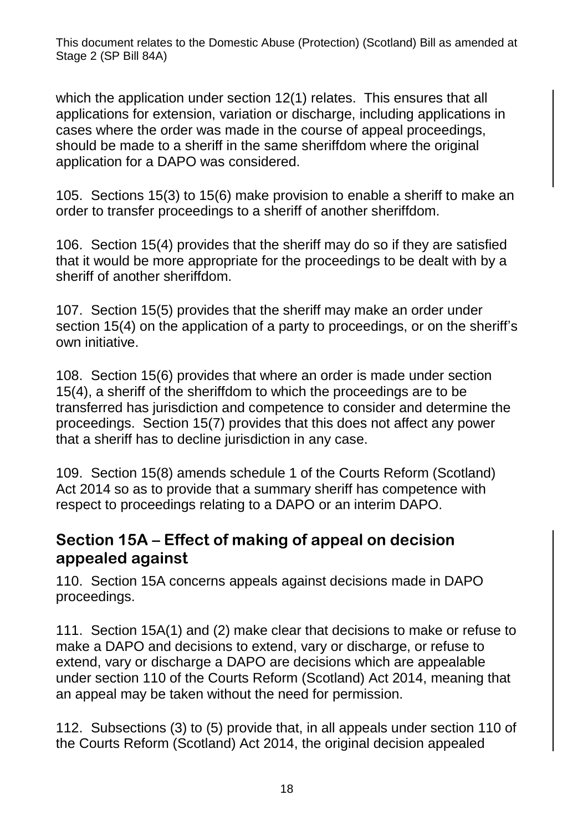which the application under section 12(1) relates. This ensures that all applications for extension, variation or discharge, including applications in cases where the order was made in the course of appeal proceedings, should be made to a sheriff in the same sheriffdom where the original application for a DAPO was considered.

105. Sections 15(3) to 15(6) make provision to enable a sheriff to make an order to transfer proceedings to a sheriff of another sheriffdom.

106. Section 15(4) provides that the sheriff may do so if they are satisfied that it would be more appropriate for the proceedings to be dealt with by a sheriff of another sheriffdom.

107. Section 15(5) provides that the sheriff may make an order under section 15(4) on the application of a party to proceedings, or on the sheriff's own initiative.

108. Section 15(6) provides that where an order is made under section 15(4), a sheriff of the sheriffdom to which the proceedings are to be transferred has jurisdiction and competence to consider and determine the proceedings. Section 15(7) provides that this does not affect any power that a sheriff has to decline jurisdiction in any case.

109. Section 15(8) amends schedule 1 of the Courts Reform (Scotland) Act 2014 so as to provide that a summary sheriff has competence with respect to proceedings relating to a DAPO or an interim DAPO.

#### **Section 15A – Effect of making of appeal on decision appealed against**

110. Section 15A concerns appeals against decisions made in DAPO proceedings.

111. Section 15A(1) and (2) make clear that decisions to make or refuse to make a DAPO and decisions to extend, vary or discharge, or refuse to extend, vary or discharge a DAPO are decisions which are appealable under section 110 of the Courts Reform (Scotland) Act 2014, meaning that an appeal may be taken without the need for permission.

112. Subsections (3) to (5) provide that, in all appeals under section 110 of the Courts Reform (Scotland) Act 2014, the original decision appealed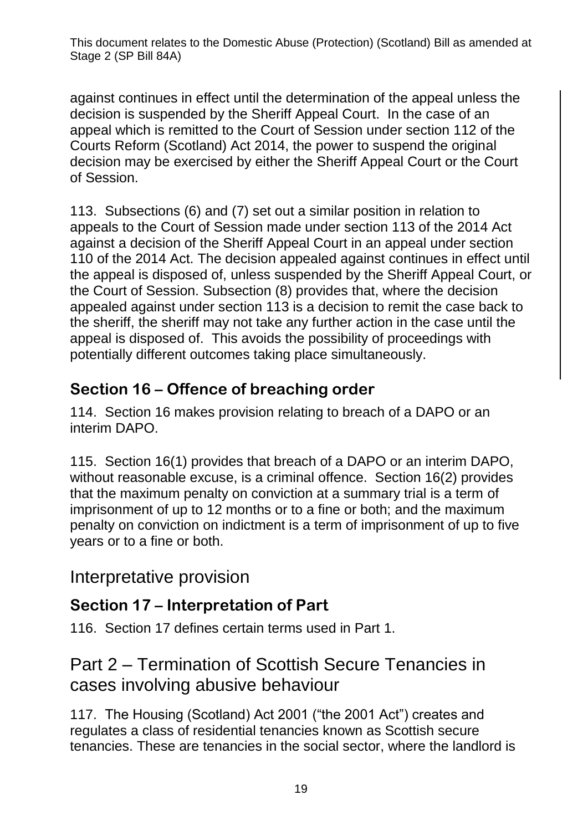against continues in effect until the determination of the appeal unless the decision is suspended by the Sheriff Appeal Court. In the case of an appeal which is remitted to the Court of Session under section 112 of the Courts Reform (Scotland) Act 2014, the power to suspend the original decision may be exercised by either the Sheriff Appeal Court or the Court of Session.

113. Subsections (6) and (7) set out a similar position in relation to appeals to the Court of Session made under section 113 of the 2014 Act against a decision of the Sheriff Appeal Court in an appeal under section 110 of the 2014 Act. The decision appealed against continues in effect until the appeal is disposed of, unless suspended by the Sheriff Appeal Court, or the Court of Session. Subsection (8) provides that, where the decision appealed against under section 113 is a decision to remit the case back to the sheriff, the sheriff may not take any further action in the case until the appeal is disposed of. This avoids the possibility of proceedings with potentially different outcomes taking place simultaneously.

#### **Section 16 – Offence of breaching order**

114. Section 16 makes provision relating to breach of a DAPO or an interim DAPO.

115. Section 16(1) provides that breach of a DAPO or an interim DAPO, without reasonable excuse, is a criminal offence. Section 16(2) provides that the maximum penalty on conviction at a summary trial is a term of imprisonment of up to 12 months or to a fine or both; and the maximum penalty on conviction on indictment is a term of imprisonment of up to five years or to a fine or both.

#### Interpretative provision

#### **Section 17 – Interpretation of Part**

116. Section 17 defines certain terms used in Part 1.

#### Part 2 – Termination of Scottish Secure Tenancies in cases involving abusive behaviour

117. The Housing (Scotland) Act 2001 ("the 2001 Act") creates and regulates a class of residential tenancies known as Scottish secure tenancies. These are tenancies in the social sector, where the landlord is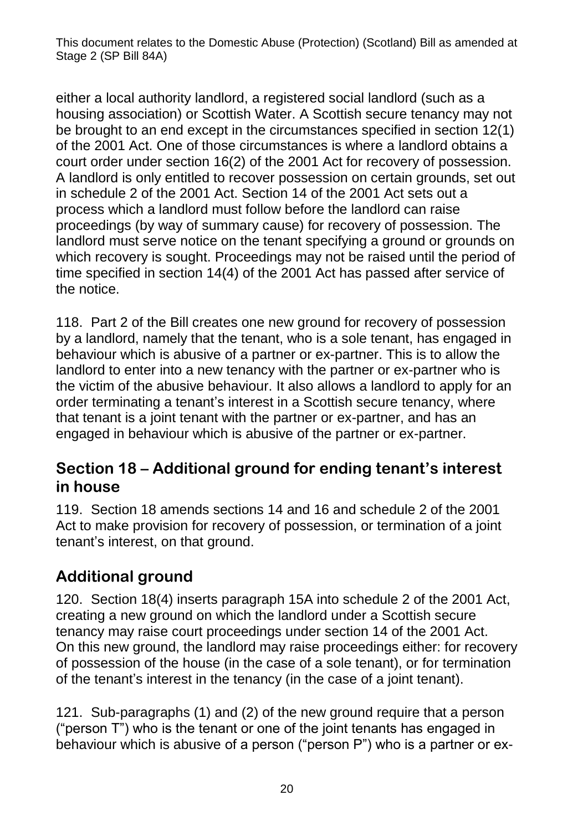either a local authority landlord, a registered social landlord (such as a housing association) or Scottish Water. A Scottish secure tenancy may not be brought to an end except in the circumstances specified in section 12(1) of the 2001 Act. One of those circumstances is where a landlord obtains a court order under section 16(2) of the 2001 Act for recovery of possession. A landlord is only entitled to recover possession on certain grounds, set out in schedule 2 of the 2001 Act. Section 14 of the 2001 Act sets out a process which a landlord must follow before the landlord can raise proceedings (by way of summary cause) for recovery of possession. The landlord must serve notice on the tenant specifying a ground or grounds on which recovery is sought. Proceedings may not be raised until the period of time specified in section 14(4) of the 2001 Act has passed after service of the notice.

118. Part 2 of the Bill creates one new ground for recovery of possession by a landlord, namely that the tenant, who is a sole tenant, has engaged in behaviour which is abusive of a partner or ex-partner. This is to allow the landlord to enter into a new tenancy with the partner or ex-partner who is the victim of the abusive behaviour. It also allows a landlord to apply for an order terminating a tenant's interest in a Scottish secure tenancy, where that tenant is a joint tenant with the partner or ex-partner, and has an engaged in behaviour which is abusive of the partner or ex-partner.

#### **Section 18 – Additional ground for ending tenant's interest in house**

119. Section 18 amends sections 14 and 16 and schedule 2 of the 2001 Act to make provision for recovery of possession, or termination of a joint tenant's interest, on that ground.

#### **Additional ground**

120. Section 18(4) inserts paragraph 15A into schedule 2 of the 2001 Act, creating a new ground on which the landlord under a Scottish secure tenancy may raise court proceedings under section 14 of the 2001 Act. On this new ground, the landlord may raise proceedings either: for recovery of possession of the house (in the case of a sole tenant), or for termination of the tenant's interest in the tenancy (in the case of a joint tenant).

121. Sub-paragraphs (1) and (2) of the new ground require that a person ("person T") who is the tenant or one of the joint tenants has engaged in behaviour which is abusive of a person ("person P") who is a partner or ex-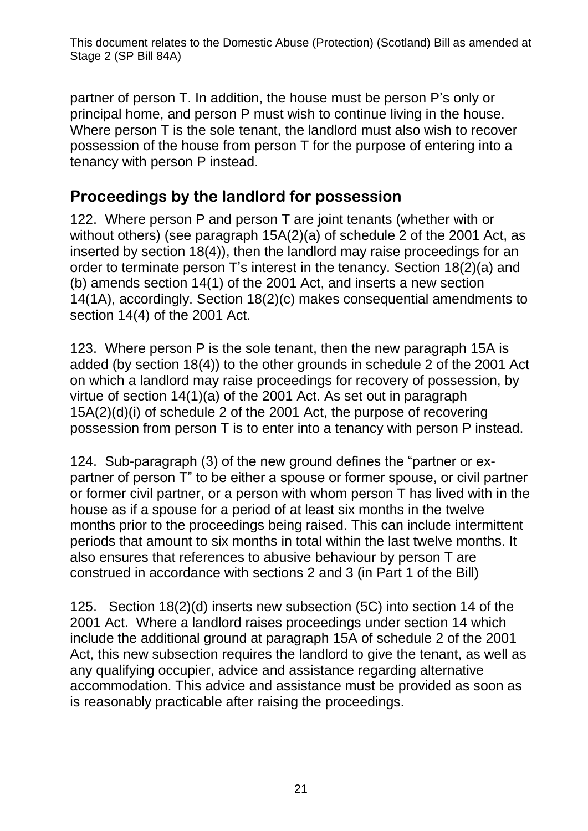partner of person T. In addition, the house must be person P's only or principal home, and person P must wish to continue living in the house. Where person T is the sole tenant, the landlord must also wish to recover possession of the house from person T for the purpose of entering into a tenancy with person P instead.

#### **Proceedings by the landlord for possession**

122. Where person P and person T are joint tenants (whether with or without others) (see paragraph 15A(2)(a) of schedule 2 of the 2001 Act, as inserted by section 18(4)), then the landlord may raise proceedings for an order to terminate person T's interest in the tenancy. Section 18(2)(a) and (b) amends section 14(1) of the 2001 Act, and inserts a new section 14(1A), accordingly. Section 18(2)(c) makes consequential amendments to section 14(4) of the 2001 Act.

123. Where person P is the sole tenant, then the new paragraph 15A is added (by section 18(4)) to the other grounds in schedule 2 of the 2001 Act on which a landlord may raise proceedings for recovery of possession, by virtue of section 14(1)(a) of the 2001 Act. As set out in paragraph 15A(2)(d)(i) of schedule 2 of the 2001 Act, the purpose of recovering possession from person T is to enter into a tenancy with person P instead.

124. Sub-paragraph (3) of the new ground defines the "partner or expartner of person T" to be either a spouse or former spouse, or civil partner or former civil partner, or a person with whom person T has lived with in the house as if a spouse for a period of at least six months in the twelve months prior to the proceedings being raised. This can include intermittent periods that amount to six months in total within the last twelve months. It also ensures that references to abusive behaviour by person T are construed in accordance with sections 2 and 3 (in Part 1 of the Bill)

125. Section 18(2)(d) inserts new subsection (5C) into section 14 of the 2001 Act. Where a landlord raises proceedings under section 14 which include the additional ground at paragraph 15A of schedule 2 of the 2001 Act, this new subsection requires the landlord to give the tenant, as well as any qualifying occupier, advice and assistance regarding alternative accommodation. This advice and assistance must be provided as soon as is reasonably practicable after raising the proceedings.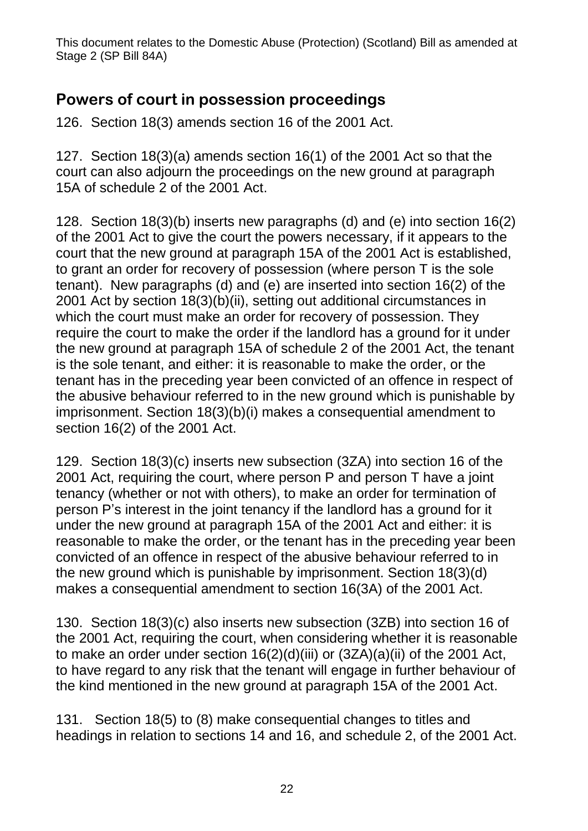#### **Powers of court in possession proceedings**

126. Section 18(3) amends section 16 of the 2001 Act.

127. Section 18(3)(a) amends section 16(1) of the 2001 Act so that the court can also adjourn the proceedings on the new ground at paragraph 15A of schedule 2 of the 2001 Act.

128. Section 18(3)(b) inserts new paragraphs (d) and (e) into section 16(2) of the 2001 Act to give the court the powers necessary, if it appears to the court that the new ground at paragraph 15A of the 2001 Act is established, to grant an order for recovery of possession (where person T is the sole tenant). New paragraphs (d) and (e) are inserted into section 16(2) of the 2001 Act by section 18(3)(b)(ii), setting out additional circumstances in which the court must make an order for recovery of possession. They require the court to make the order if the landlord has a ground for it under the new ground at paragraph 15A of schedule 2 of the 2001 Act, the tenant is the sole tenant, and either: it is reasonable to make the order, or the tenant has in the preceding year been convicted of an offence in respect of the abusive behaviour referred to in the new ground which is punishable by imprisonment. Section 18(3)(b)(i) makes a consequential amendment to section 16(2) of the 2001 Act.

129. Section 18(3)(c) inserts new subsection (3ZA) into section 16 of the 2001 Act, requiring the court, where person P and person T have a joint tenancy (whether or not with others), to make an order for termination of person P's interest in the joint tenancy if the landlord has a ground for it under the new ground at paragraph 15A of the 2001 Act and either: it is reasonable to make the order, or the tenant has in the preceding year been convicted of an offence in respect of the abusive behaviour referred to in the new ground which is punishable by imprisonment. Section 18(3)(d) makes a consequential amendment to section 16(3A) of the 2001 Act.

130. Section 18(3)(c) also inserts new subsection (3ZB) into section 16 of the 2001 Act, requiring the court, when considering whether it is reasonable to make an order under section 16(2)(d)(iii) or (3ZA)(a)(ii) of the 2001 Act, to have regard to any risk that the tenant will engage in further behaviour of the kind mentioned in the new ground at paragraph 15A of the 2001 Act.

131. Section 18(5) to (8) make consequential changes to titles and headings in relation to sections 14 and 16, and schedule 2, of the 2001 Act.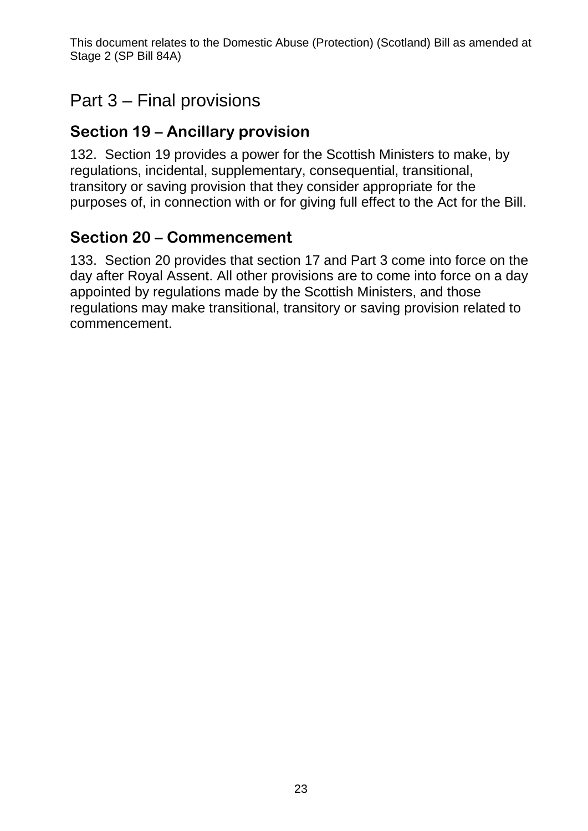### Part 3 – Final provisions

#### **Section 19 – Ancillary provision**

132. Section 19 provides a power for the Scottish Ministers to make, by regulations, incidental, supplementary, consequential, transitional, transitory or saving provision that they consider appropriate for the purposes of, in connection with or for giving full effect to the Act for the Bill.

#### **Section 20 – Commencement**

133. Section 20 provides that section 17 and Part 3 come into force on the day after Royal Assent. All other provisions are to come into force on a day appointed by regulations made by the Scottish Ministers, and those regulations may make transitional, transitory or saving provision related to commencement.